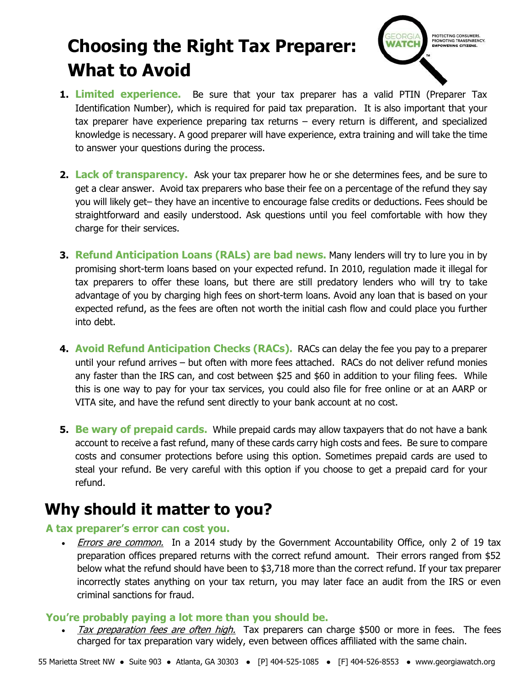# **Choosing the Right Tax Preparer: What to Avoid**



- **1. Limited experience.** Be sure that your tax preparer has a valid PTIN (Preparer Tax Identification Number), which is required for paid tax preparation. It is also important that your tax preparer have experience preparing tax returns – every return is different, and specialized knowledge is necessary. A good preparer will have experience, extra training and will take the time to answer your questions during the process.
- **2. Lack of transparency.** Ask your tax preparer how he or she determines fees, and be sure to get a clear answer. Avoid tax preparers who base their fee on a percentage of the refund they say you will likely get– they have an incentive to encourage false credits or deductions. Fees should be straightforward and easily understood. Ask questions until you feel comfortable with how they charge for their services.
- **3. Refund Anticipation Loans (RALs) are bad news.** Many lenders will try to lure you in by promising short-term loans based on your expected refund. In 2010, regulation made it illegal for tax preparers to offer these loans, but there are still predatory lenders who will try to take advantage of you by charging high fees on short-term loans. Avoid any loan that is based on your expected refund, as the fees are often not worth the initial cash flow and could place you further into debt.
- **4. Avoid Refund Anticipation Checks (RACs).** RACs can delay the fee you pay to a preparer until your refund arrives – but often with more fees attached. RACs do not deliver refund monies any faster than the IRS can, and cost between \$25 and \$60 in addition to your filing fees. While this is one way to pay for your tax services, you could also file for free online or at an AARP or VITA site, and have the refund sent directly to your bank account at no cost.
- **5. Be wary of prepaid cards.** While prepaid cards may allow taxpayers that do not have a bank account to receive a fast refund, many of these cards carry high costs and fees. Be sure to compare costs and consumer protections before using this option. Sometimes prepaid cards are used to steal your refund. Be very careful with this option if you choose to get a prepaid card for your refund.

## **Why should it matter to you?**

#### **A tax preparer's error can cost you.**

• *Errors are common.* In a 2014 study by the Government Accountability Office, only 2 of 19 tax preparation offices prepared returns with the correct refund amount. Their errors ranged from \$52 below what the refund should have been to \$3,718 more than the correct refund. If your tax preparer incorrectly states anything on your tax return, you may later face an audit from the IRS or even criminal sanctions for fraud.

#### **You're probably paying a lot more than you should be.**

 Tax preparation fees are often high.Tax preparers can charge \$500 or more in fees. The fees charged for tax preparation vary widely, even between offices affiliated with the same chain.